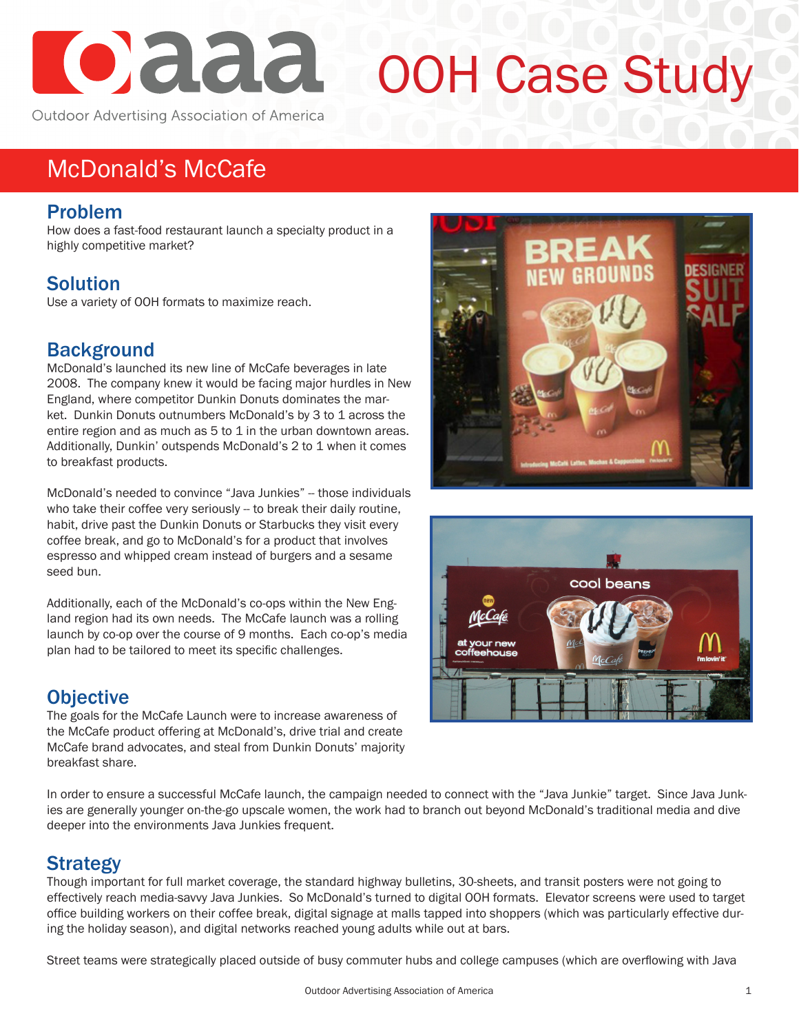

# OOH Case Study

## McDonald's McCafe

#### Problem

How does a fast-food restaurant launch a specialty product in a highly competitive market?

### **Solution**

Use a variety of OOH formats to maximize reach.

#### **Background**

McDonald's launched its new line of McCafe beverages in late 2008. The company knew it would be facing major hurdles in New England, where competitor Dunkin Donuts dominates the market. Dunkin Donuts outnumbers McDonald's by 3 to 1 across the entire region and as much as 5 to 1 in the urban downtown areas. Additionally, Dunkin' outspends McDonald's 2 to 1 when it comes to breakfast products.

McDonald's needed to convince "Java Junkies" -- those individuals who take their coffee very seriously -- to break their daily routine, habit, drive past the Dunkin Donuts or Starbucks they visit every coffee break, and go to McDonald's for a product that involves espresso and whipped cream instead of burgers and a sesame seed bun.

Additionally, each of the McDonald's co-ops within the New England region had its own needs. The McCafe launch was a rolling launch by co-op over the course of 9 months. Each co-op's media plan had to be tailored to meet its specific challenges.

#### **Objective**

The goals for the McCafe Launch were to increase awareness of the McCafe product offering at McDonald's, drive trial and create McCafe brand advocates, and steal from Dunkin Donuts' majority breakfast share.





In order to ensure a successful McCafe launch, the campaign needed to connect with the "Java Junkie" target. Since Java Junkies are generally younger on-the-go upscale women, the work had to branch out beyond McDonald's traditional media and dive deeper into the environments Java Junkies frequent.

#### **Strategy**

Though important for full market coverage, the standard highway bulletins, 30-sheets, and transit posters were not going to effectively reach media-savvy Java Junkies. So McDonald's turned to digital OOH formats. Elevator screens were used to target office building workers on their coffee break, digital signage at malls tapped into shoppers (which was particularly effective during the holiday season), and digital networks reached young adults while out at bars.

Street teams were strategically placed outside of busy commuter hubs and college campuses (which are overflowing with Java